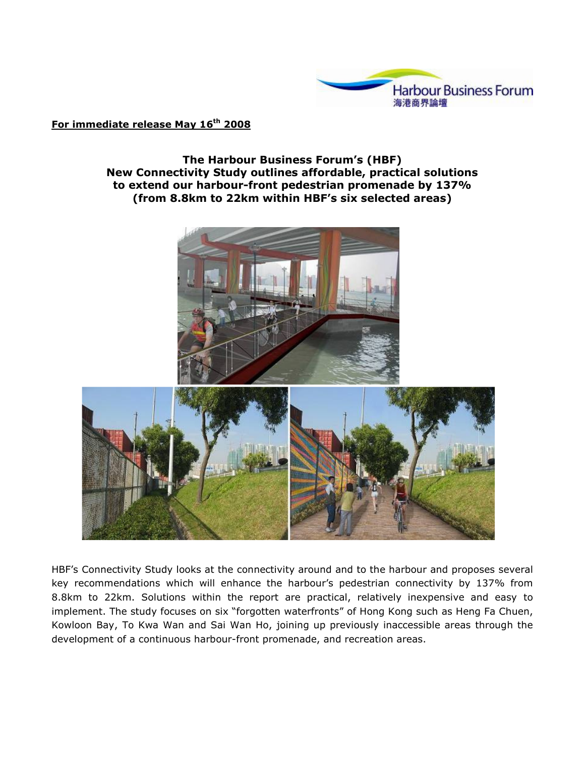

## For immediate release May 16<sup>th</sup> 2008

## The Harbour Business Forum's (HBF) New Connectivity Study outlines affordable, practical solutions to extend our harbour-front pedestrian promenade by 137% (from 8.8km to 22km within HBF's six selected areas)



HBF's Connectivity Study looks at the connectivity around and to the harbour and proposes several key recommendations which will enhance the harbour's pedestrian connectivity by 137% from 8.8km to 22km. Solutions within the report are practical, relatively inexpensive and easy to implement. The study focuses on six "forgotten waterfronts" of Hong Kong such as Heng Fa Chuen, Kowloon Bay, To Kwa Wan and Sai Wan Ho, joining up previously inaccessible areas through the development of a continuous harbour-front promenade, and recreation areas.